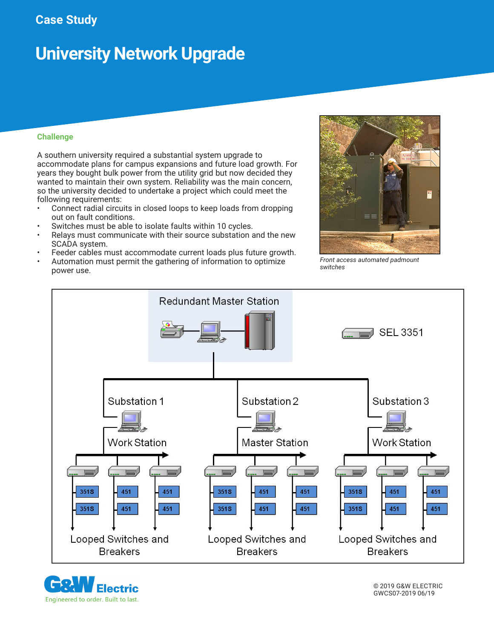## **Case Study**

# **University Network Upgrade**

### **Challenge**

A southern university required a substantial system upgrade to accommodate plans for campus expansions and future load growth. For years they bought bulk power from the utility grid but now decided they wanted to maintain their own system. Reliability was the main concern, so the university decided to undertake a project which could meet the following requirements:

- Connect radial circuits in closed loops to keep loads from dropping out on fault conditions.
- Switches must be able to isolate faults within 10 cycles.
- Relays must communicate with their source substation and the new SCADA system.
- Feeder cables must accommodate current loads plus future growth.
- Automation must permit the gathering of information to optimize power use.



*Front access automated padmount switches*